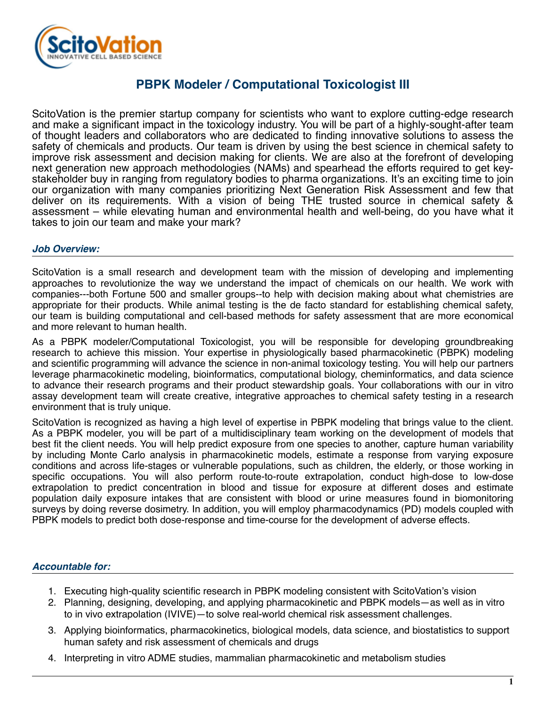

## **PBPK Modeler / Computational Toxicologist III**

ScitoVation is the premier startup company for scientists who want to explore cutting-edge research and make a significant impact in the toxicology industry. You will be part of a highly-sought-after team of thought leaders and collaborators who are dedicated to finding innovative solutions to assess the safety of chemicals and products. Our team is driven by using the best science in chemical safety to improve risk assessment and decision making for clients. We are also at the forefront of developing next generation new approach methodologies (NAMs) and spearhead the efforts required to get keystakeholder buy in ranging from regulatory bodies to pharma organizations. It's an exciting time to join our organization with many companies prioritizing Next Generation Risk Assessment and few that deliver on its requirements. With a vision of being THE trusted source in chemical safety & assessment – while elevating human and environmental health and well-being, do you have what it takes to join our team and make your mark?

## *Job Overview:*

ScitoVation is a small research and development team with the mission of developing and implementing approaches to revolutionize the way we understand the impact of chemicals on our health. We work with companies---both Fortune 500 and smaller groups--to help with decision making about what chemistries are appropriate for their products. While animal testing is the de facto standard for establishing chemical safety, our team is building computational and cell-based methods for safety assessment that are more economical and more relevant to human health.

As a PBPK modeler/Computational Toxicologist, you will be responsible for developing groundbreaking research to achieve this mission. Your expertise in physiologically based pharmacokinetic (PBPK) modeling and scientific programming will advance the science in non-animal toxicology testing. You will help our partners leverage pharmacokinetic modeling, bioinformatics, computational biology, cheminformatics, and data science to advance their research programs and their product stewardship goals. Your collaborations with our in vitro assay development team will create creative, integrative approaches to chemical safety testing in a research environment that is truly unique.

ScitoVation is recognized as having a high level of expertise in PBPK modeling that brings value to the client. As a PBPK modeler, you will be part of a multidisciplinary team working on the development of models that best fit the client needs. You will help predict exposure from one species to another, capture human variability by including Monte Carlo analysis in pharmacokinetic models, estimate a response from varying exposure conditions and across life-stages or vulnerable populations, such as children, the elderly, or those working in specific occupations. You will also perform route-to-route extrapolation, conduct high-dose to low-dose extrapolation to predict concentration in blood and tissue for exposure at different doses and estimate population daily exposure intakes that are consistent with blood or urine measures found in biomonitoring surveys by doing reverse dosimetry. In addition, you will employ pharmacodynamics (PD) models coupled with PBPK models to predict both dose-response and time-course for the development of adverse effects.

## *Accountable for:*

- 1. Executing high-quality scientific research in PBPK modeling consistent with ScitoVation's vision
- 2. Planning, designing, developing, and applying pharmacokinetic and PBPK models—as well as in vitro to in vivo extrapolation (IVIVE)—to solve real-world chemical risk assessment challenges.
- 3. Applying bioinformatics, pharmacokinetics, biological models, data science, and biostatistics to support human safety and risk assessment of chemicals and drugs
- 4. Interpreting in vitro ADME studies, mammalian pharmacokinetic and metabolism studies